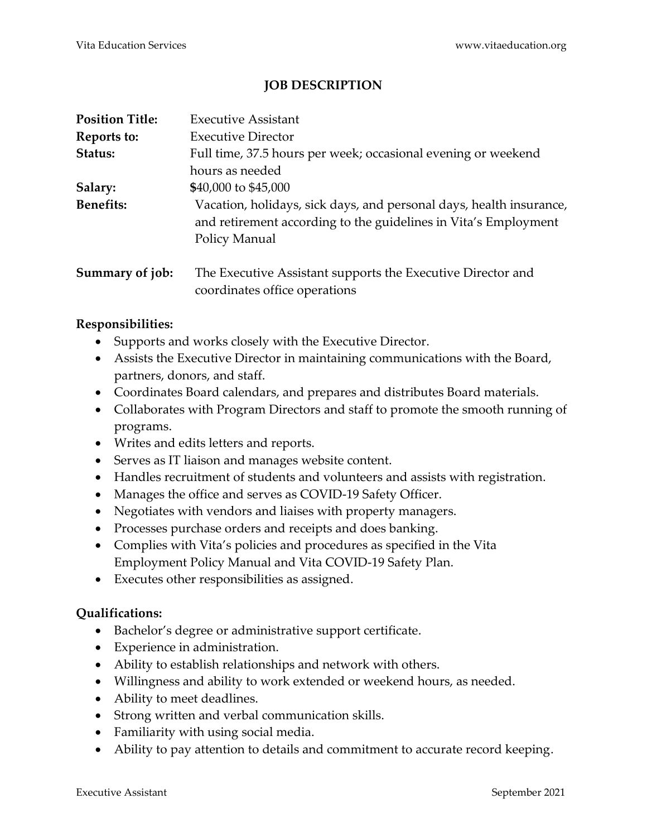## **JOB DESCRIPTION**

| <b>Position Title:</b> | <b>Executive Assistant</b>                                                                                                                              |
|------------------------|---------------------------------------------------------------------------------------------------------------------------------------------------------|
| Reports to:            | <b>Executive Director</b>                                                                                                                               |
| Status:                | Full time, 37.5 hours per week; occasional evening or weekend                                                                                           |
|                        | hours as needed                                                                                                                                         |
| Salary:                | \$40,000 to \$45,000                                                                                                                                    |
| <b>Benefits:</b>       | Vacation, holidays, sick days, and personal days, health insurance,<br>and retirement according to the guidelines in Vita's Employment<br>Policy Manual |
| Summary of job:        | The Executive Assistant supports the Executive Director and<br>coordinates office operations                                                            |

## **Responsibilities:**

- Supports and works closely with the Executive Director.
- Assists the Executive Director in maintaining communications with the Board, partners, donors, and staff.
- Coordinates Board calendars, and prepares and distributes Board materials.
- Collaborates with Program Directors and staff to promote the smooth running of programs.
- Writes and edits letters and reports.
- Serves as IT liaison and manages website content.
- Handles recruitment of students and volunteers and assists with registration.
- Manages the office and serves as COVID-19 Safety Officer.
- Negotiates with vendors and liaises with property managers.
- Processes purchase orders and receipts and does banking.
- Complies with Vita's policies and procedures as specified in the Vita Employment Policy Manual and Vita COVID-19 Safety Plan.
- Executes other responsibilities as assigned.

## **Qualifications:**

- Bachelor's degree or administrative support certificate.
- Experience in administration.
- Ability to establish relationships and network with others.
- Willingness and ability to work extended or weekend hours, as needed.
- Ability to meet deadlines.
- Strong written and verbal communication skills.
- Familiarity with using social media.
- Ability to pay attention to details and commitment to accurate record keeping.